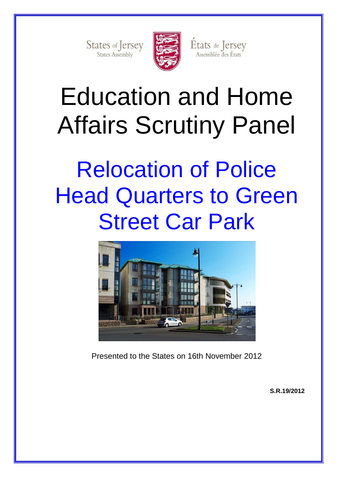States of Jersey



États de Jersey

Assemblée des États

Education and Home Affairs Scrutiny Panel

# Relocation of Police Head Quarters to Green Street Car Park



Presented to the States on 16th November 2012

**S.R.19/2012**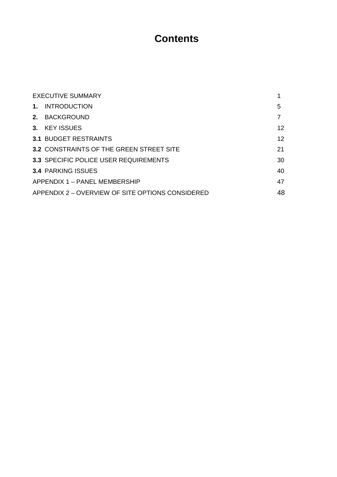## **Contents**

|      | <b>EXECUTIVE SUMMARY</b>                         |    |  |
|------|--------------------------------------------------|----|--|
| 1.   | <b>INTRODUCTION</b>                              | 5  |  |
| 2.   | <b>BACKGROUND</b>                                | 7  |  |
| $3-$ | <b>KEY ISSUES</b>                                | 12 |  |
|      | <b>3.1 BUDGET RESTRAINTS</b>                     | 12 |  |
|      | <b>3.2 CONSTRAINTS OF THE GREEN STREET SITE</b>  | 21 |  |
|      | <b>3.3 SPECIFIC POLICE USER REQUIREMENTS</b>     | 30 |  |
|      | <b>3.4 PARKING ISSUES</b>                        | 40 |  |
|      | APPENDIX 1 - PANEL MEMBERSHIP                    | 47 |  |
|      | APPENDIX 2 – OVERVIEW OF SITE OPTIONS CONSIDERED | 48 |  |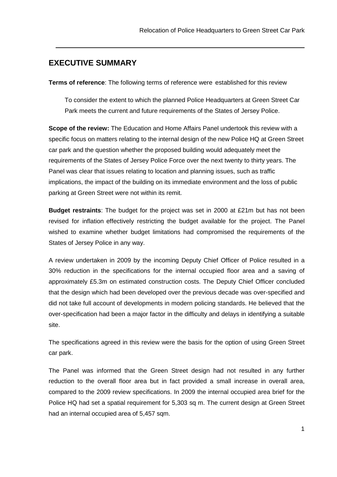## **EXECUTIVE SUMMARY**

**Terms of reference**: The following terms of reference were established for this review

To consider the extent to which the planned Police Headquarters at Green Street Car Park meets the current and future requirements of the States of Jersey Police.

**Scope of the review:** The Education and Home Affairs Panel undertook this review with a specific focus on matters relating to the internal design of the new Police HQ at Green Street car park and the question whether the proposed building would adequately meet the requirements of the States of Jersey Police Force over the next twenty to thirty years. The Panel was clear that issues relating to location and planning issues, such as traffic implications, the impact of the building on its immediate environment and the loss of public parking at Green Street were not within its remit.

**Budget restraints**: The budget for the project was set in 2000 at £21m but has not been revised for inflation effectively restricting the budget available for the project. The Panel wished to examine whether budget limitations had compromised the requirements of the States of Jersey Police in any way.

A review undertaken in 2009 by the incoming Deputy Chief Officer of Police resulted in a 30% reduction in the specifications for the internal occupied floor area and a saving of approximately £5.3m on estimated construction costs. The Deputy Chief Officer concluded that the design which had been developed over the previous decade was over-specified and did not take full account of developments in modern policing standards. He believed that the over-specification had been a major factor in the difficulty and delays in identifying a suitable site.

The specifications agreed in this review were the basis for the option of using Green Street car park.

The Panel was informed that the Green Street design had not resulted in any further reduction to the overall floor area but in fact provided a small increase in overall area, compared to the 2009 review specifications. In 2009 the internal occupied area brief for the Police HQ had set a spatial requirement for 5,303 sq m. The current design at Green Street had an internal occupied area of 5,457 sqm.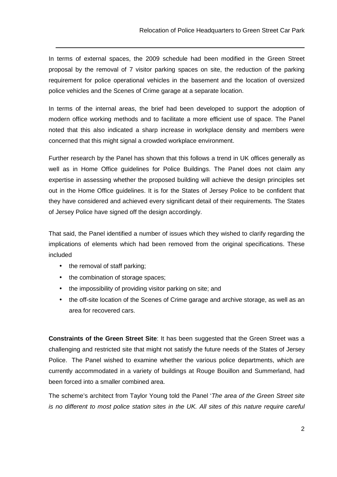In terms of external spaces, the 2009 schedule had been modified in the Green Street proposal by the removal of 7 visitor parking spaces on site, the reduction of the parking requirement for police operational vehicles in the basement and the location of oversized police vehicles and the Scenes of Crime garage at a separate location.

In terms of the internal areas, the brief had been developed to support the adoption of modern office working methods and to facilitate a more efficient use of space. The Panel noted that this also indicated a sharp increase in workplace density and members were concerned that this might signal a crowded workplace environment.

Further research by the Panel has shown that this follows a trend in UK offices generally as well as in Home Office guidelines for Police Buildings. The Panel does not claim any expertise in assessing whether the proposed building will achieve the design principles set out in the Home Office guidelines. It is for the States of Jersey Police to be confident that they have considered and achieved every significant detail of their requirements. The States of Jersey Police have signed off the design accordingly.

That said, the Panel identified a number of issues which they wished to clarify regarding the implications of elements which had been removed from the original specifications. These included

• the removal of staff parking;

- the combination of storage spaces;
- the impossibility of providing visitor parking on site; and
- the off-site location of the Scenes of Crime garage and archive storage, as well as an area for recovered cars.

**Constraints of the Green Street Site**: It has been suggested that the Green Street was a challenging and restricted site that might not satisfy the future needs of the States of Jersey Police. The Panel wished to examine whether the various police departments, which are currently accommodated in a variety of buildings at Rouge Bouillon and Summerland, had been forced into a smaller combined area.

The scheme's architect from Taylor Young told the Panel 'The area of the Green Street site is no different to most police station sites in the UK. All sites of this nature require careful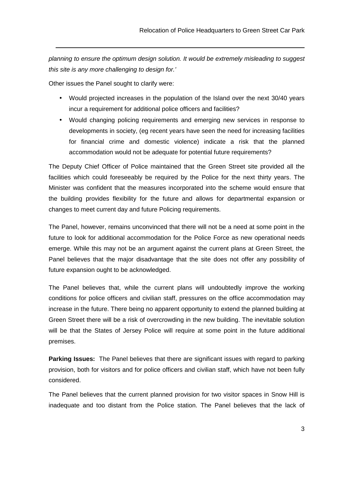planning to ensure the optimum design solution. It would be extremely misleading to suggest this site is any more challenging to design for.'

Other issues the Panel sought to clarify were:

- Would projected increases in the population of the Island over the next 30/40 years incur a requirement for additional police officers and facilities?
- Would changing policing requirements and emerging new services in response to developments in society, (eg recent years have seen the need for increasing facilities for financial crime and domestic violence) indicate a risk that the planned accommodation would not be adequate for potential future requirements?

The Deputy Chief Officer of Police maintained that the Green Street site provided all the facilities which could foreseeably be required by the Police for the next thirty years. The Minister was confident that the measures incorporated into the scheme would ensure that the building provides flexibility for the future and allows for departmental expansion or changes to meet current day and future Policing requirements.

The Panel, however, remains unconvinced that there will not be a need at some point in the future to look for additional accommodation for the Police Force as new operational needs emerge. While this may not be an argument against the current plans at Green Street, the Panel believes that the major disadvantage that the site does not offer any possibility of future expansion ought to be acknowledged.

The Panel believes that, while the current plans will undoubtedly improve the working conditions for police officers and civilian staff, pressures on the office accommodation may increase in the future. There being no apparent opportunity to extend the planned building at Green Street there will be a risk of overcrowding in the new building. The inevitable solution will be that the States of Jersey Police will require at some point in the future additional premises.

**Parking Issues:** The Panel believes that there are significant issues with regard to parking provision, both for visitors and for police officers and civilian staff, which have not been fully considered.

The Panel believes that the current planned provision for two visitor spaces in Snow Hill is inadequate and too distant from the Police station. The Panel believes that the lack of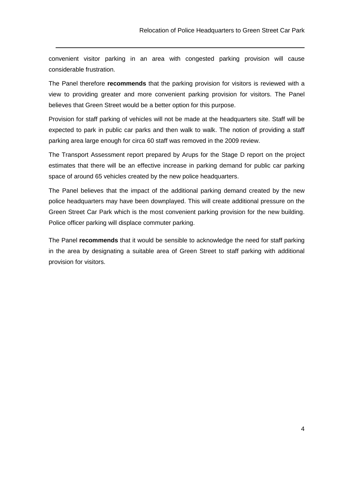convenient visitor parking in an area with congested parking provision will cause considerable frustration.

The Panel therefore **recommends** that the parking provision for visitors is reviewed with a view to providing greater and more convenient parking provision for visitors. The Panel believes that Green Street would be a better option for this purpose.

Provision for staff parking of vehicles will not be made at the headquarters site. Staff will be expected to park in public car parks and then walk to walk. The notion of providing a staff parking area large enough for circa 60 staff was removed in the 2009 review.

The Transport Assessment report prepared by Arups for the Stage D report on the project estimates that there will be an effective increase in parking demand for public car parking space of around 65 vehicles created by the new police headquarters.

The Panel believes that the impact of the additional parking demand created by the new police headquarters may have been downplayed. This will create additional pressure on the Green Street Car Park which is the most convenient parking provision for the new building. Police officer parking will displace commuter parking.

The Panel **recommends** that it would be sensible to acknowledge the need for staff parking in the area by designating a suitable area of Green Street to staff parking with additional provision for visitors.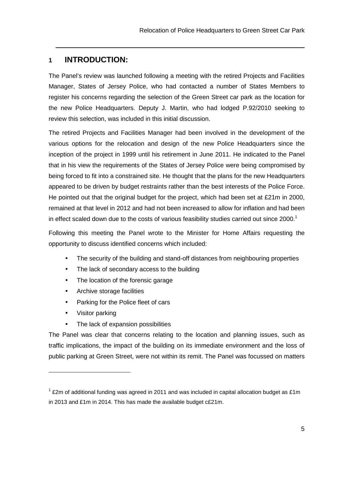## **1 INTRODUCTION:**

The Panel's review was launched following a meeting with the retired Projects and Facilities Manager, States of Jersey Police, who had contacted a number of States Members to register his concerns regarding the selection of the Green Street car park as the location for the new Police Headquarters. Deputy J. Martin, who had lodged P.92/2010 seeking to review this selection, was included in this initial discussion.

The retired Projects and Facilities Manager had been involved in the development of the various options for the relocation and design of the new Police Headquarters since the inception of the project in 1999 until his retirement in June 2011. He indicated to the Panel that in his view the requirements of the States of Jersey Police were being compromised by being forced to fit into a constrained site. He thought that the plans for the new Headquarters appeared to be driven by budget restraints rather than the best interests of the Police Force. He pointed out that the original budget for the project, which had been set at £21m in 2000, remained at that level in 2012 and had not been increased to allow for inflation and had been in effect scaled down due to the costs of various feasibility studies carried out since  $2000$ .<sup>1</sup>

Following this meeting the Panel wrote to the Minister for Home Affairs requesting the opportunity to discuss identified concerns which included:

- The security of the building and stand-off distances from neighbouring properties
- The lack of secondary access to the building
- The location of the forensic garage
- Archive storage facilities
- Parking for the Police fleet of cars
- Visitor parking

 $\overline{a}$ 

• The lack of expansion possibilities

The Panel was clear that concerns relating to the location and planning issues, such as traffic implications, the impact of the building on its immediate environment and the loss of public parking at Green Street, were not within its remit. The Panel was focussed on matters

 $1$  £2m of additional funding was agreed in 2011 and was included in capital allocation budget as £1m in 2013 and £1m in 2014. This has made the available budget c£21m.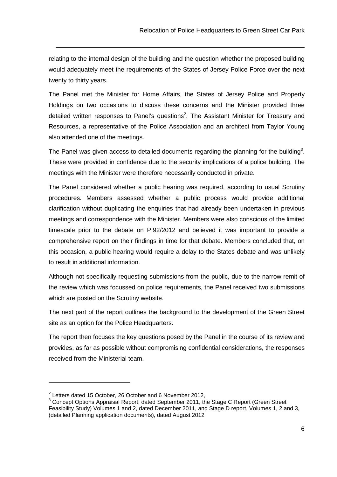relating to the internal design of the building and the question whether the proposed building would adequately meet the requirements of the States of Jersey Police Force over the next twenty to thirty years.

 $\overline{a}$ 

The Panel met the Minister for Home Affairs, the States of Jersey Police and Property Holdings on two occasions to discuss these concerns and the Minister provided three detailed written responses to Panel's questions<sup>2</sup>. The Assistant Minister for Treasury and Resources, a representative of the Police Association and an architect from Taylor Young also attended one of the meetings.

The Panel was given access to detailed documents regarding the planning for the building<sup>3</sup>. These were provided in confidence due to the security implications of a police building. The meetings with the Minister were therefore necessarily conducted in private.

The Panel considered whether a public hearing was required, according to usual Scrutiny procedures. Members assessed whether a public process would provide additional clarification without duplicating the enquiries that had already been undertaken in previous meetings and correspondence with the Minister. Members were also conscious of the limited timescale prior to the debate on P.92/2012 and believed it was important to provide a comprehensive report on their findings in time for that debate. Members concluded that, on this occasion, a public hearing would require a delay to the States debate and was unlikely to result in additional information.

Although not specifically requesting submissions from the public, due to the narrow remit of the review which was focussed on police requirements, the Panel received two submissions which are posted on the Scrutiny website.

The next part of the report outlines the background to the development of the Green Street site as an option for the Police Headquarters.

The report then focuses the key questions posed by the Panel in the course of its review and provides, as far as possible without compromising confidential considerations, the responses received from the Ministerial team.

 $2$  Letters dated 15 October, 26 October and 6 November 2012,

 $3$  Concept Options Appraisal Report, dated September 2011, the Stage C Report (Green Street Feasibility Study) Volumes 1 and 2, dated December 2011, and Stage D report, Volumes 1, 2 and 3, (detailed Planning application documents), dated August 2012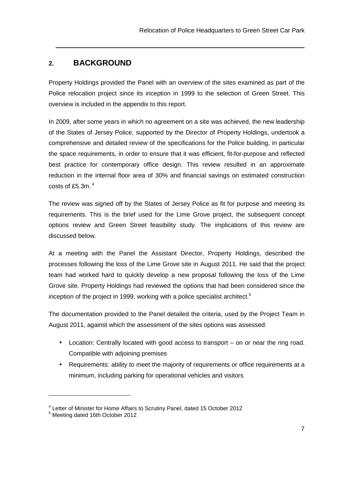## **2. BACKGROUND**

Property Holdings provided the Panel with an overview of the sites examined as part of the Police relocation project since its inception in 1999 to the selection of Green Street. This overview is included in the appendix to this report.

In 2009, after some years in which no agreement on a site was achieved, the new leadership of the States of Jersey Police, supported by the Director of Property Holdings, undertook a comprehensive and detailed review of the specifications for the Police building, in particular the space requirements, in order to ensure that it was efficient, fit-for-purpose and reflected best practice for contemporary office design. This review resulted in an approximate reduction in the internal floor area of 30% and financial savings on estimated construction costs of £5.3m.  $^4$ 

The review was signed off by the States of Jersey Police as fit for purpose and meeting its requirements. This is the brief used for the Lime Grove project, the subsequent concept options review and Green Street feasibility study. The implications of this review are discussed below.

At a meeting with the Panel the Assistant Director, Property Holdings, described the processes following the loss of the Lime Grove site in August 2011. He said that the project team had worked hard to quickly develop a new proposal following the loss of the Lime Grove site. Property Holdings had reviewed the options that had been considered since the inception of the project in 1999, working with a police specialist architect.<sup>5</sup>

The documentation provided to the Panel detailed the criteria, used by the Project Team in August 2011, against which the assessment of the sites options was assessed:

- Location: Centrally located with good access to transport on or near the ring road. Compatible with adjoining premises
- Requirements: ability to meet the majority of requirements or office requirements at a minimum, including parking for operational vehicles and visitors

<sup>&</sup>lt;sup>4</sup> Letter of Minister for Home Affairs to Scrutiny Panel, dated 15 October 2012

<sup>&</sup>lt;sup>5</sup> Meeting dated 16th October 2012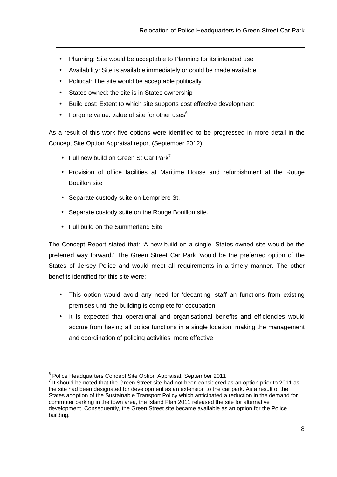- Planning: Site would be acceptable to Planning for its intended use
- Availability: Site is available immediately or could be made available
- Political: The site would be acceptable politically
- States owned: the site is in States ownership

 $\overline{a}$ 

- Build cost: Extent to which site supports cost effective development
- Forgone value: value of site for other uses $6$

As a result of this work five options were identified to be progressed in more detail in the Concept Site Option Appraisal report (September 2012):

- Full new build on Green St Car Park<sup>7</sup>
- Provision of office facilities at Maritime House and refurbishment at the Rouge Bouillon site
- Separate custody suite on Lempriere St.
- Separate custody suite on the Rouge Bouillon site.
- Full build on the Summerland Site.

The Concept Report stated that: 'A new build on a single, States-owned site would be the preferred way forward.' The Green Street Car Park 'would be the preferred option of the States of Jersey Police and would meet all requirements in a timely manner. The other benefits identified for this site were:

- This option would avoid any need for 'decanting' staff an functions from existing premises until the building is complete for occupation
- It is expected that operational and organisational benefits and efficiencies would accrue from having all police functions in a single location, making the management and coordination of policing activities more effective

<sup>&</sup>lt;sup>6</sup> Police Headquarters Concept Site Option Appraisal, September 2011

 $<sup>7</sup>$  It should be noted that the Green Street site had not been considered as an option prior to 2011 as</sup> the site had been designated for development as an extension to the car park. As a result of the States adoption of the Sustainable Transport Policy which anticipated a reduction in the demand for commuter parking in the town area, the Island Plan 2011 released the site for alternative development. Consequently, the Green Street site became available as an option for the Police building.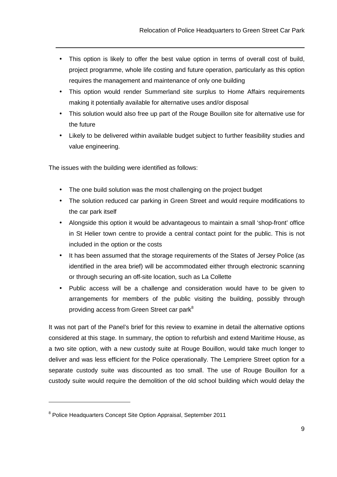- This option is likely to offer the best value option in terms of overall cost of build, project programme, whole life costing and future operation, particularly as this option requires the management and maintenance of only one building
- This option would render Summerland site surplus to Home Affairs requirements making it potentially available for alternative uses and/or disposal
- This solution would also free up part of the Rouge Bouillon site for alternative use for the future
- Likely to be delivered within available budget subject to further feasibility studies and value engineering.

The issues with the building were identified as follows:

 $\overline{a}$ 

- The one build solution was the most challenging on the project budget
- The solution reduced car parking in Green Street and would require modifications to the car park itself
- Alongside this option it would be advantageous to maintain a small 'shop-front' office in St Helier town centre to provide a central contact point for the public. This is not included in the option or the costs
- It has been assumed that the storage requirements of the States of Jersey Police (as identified in the area brief) will be accommodated either through electronic scanning or through securing an off-site location, such as La Collette
- Public access will be a challenge and consideration would have to be given to arrangements for members of the public visiting the building, possibly through providing access from Green Street car park<sup>8</sup>

It was not part of the Panel's brief for this review to examine in detail the alternative options considered at this stage. In summary, the option to refurbish and extend Maritime House, as a two site option, with a new custody suite at Rouge Bouillon, would take much longer to deliver and was less efficient for the Police operationally. The Lempriere Street option for a separate custody suite was discounted as too small. The use of Rouge Bouillon for a custody suite would require the demolition of the old school building which would delay the

<sup>&</sup>lt;sup>8</sup> Police Headquarters Concept Site Option Appraisal, September 2011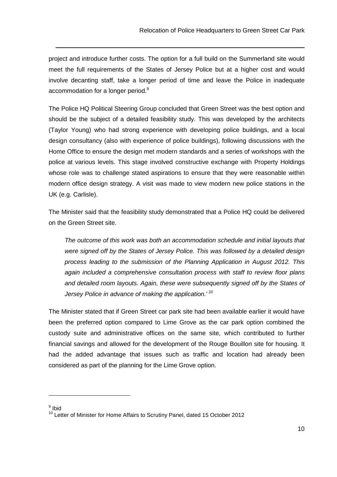project and introduce further costs. The option for a full build on the Summerland site would meet the full requirements of the States of Jersey Police but at a higher cost and would involve decanting staff, take a longer period of time and leave the Police in inadequate accommodation for a longer period.<sup>9</sup>

The Police HQ Political Steering Group concluded that Green Street was the best option and should be the subject of a detailed feasibility study. This was developed by the architects (Taylor Young) who had strong experience with developing police buildings, and a local design consultancy (also with experience of police buildings), following discussions with the Home Office to ensure the design met modern standards and a series of workshops with the police at various levels. This stage involved constructive exchange with Property Holdings whose role was to challenge stated aspirations to ensure that they were reasonable within modern office design strategy. A visit was made to view modern new police stations in the UK (e.g. Carlisle).

The Minister said that the feasibility study demonstrated that a Police HQ could be delivered on the Green Street site.

The outcome of this work was both an accommodation schedule and initial layouts that were signed off by the States of Jersey Police. This was followed by a detailed design process leading to the submission of the Planning Application in August 2012. This again included a comprehensive consultation process with staff to review floor plans and detailed room layouts. Again, these were subsequently signed off by the States of Jersey Police in advance of making the application.' 10

The Minister stated that if Green Street car park site had been available earlier it would have been the preferred option compared to Lime Grove as the car park option combined the custody suite and administrative offices on the same site, which contributed to further financial savings and allowed for the development of the Rouge Bouillon site for housing. It had the added advantage that issues such as traffic and location had already been considered as part of the planning for the Lime Grove option.

<sup>&</sup>lt;sup>9</sup> Ibid

<sup>&</sup>lt;sup>10</sup> Letter of Minister for Home Affairs to Scrutiny Panel, dated 15 October 2012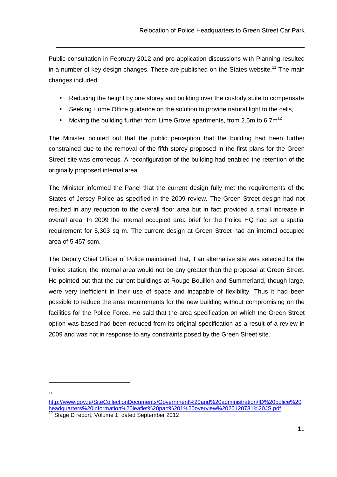Public consultation in February 2012 and pre-application discussions with Planning resulted in a number of key design changes. These are published on the States website.<sup>11</sup> The main changes included:

- Reducing the height by one storey and building over the custody suite to compensate
- Seeking Home Office guidance on the solution to provide natural light to the cells,
- Moving the building further from Lime Grove apartments, from 2.5m to 6.7 $m^{12}$

The Minister pointed out that the public perception that the building had been further constrained due to the removal of the fifth storey proposed in the first plans for the Green Street site was erroneous. A reconfiguration of the building had enabled the retention of the originally proposed internal area.

The Minister informed the Panel that the current design fully met the requirements of the States of Jersey Police as specified in the 2009 review. The Green Street design had not resulted in any reduction to the overall floor area but in fact provided a small increase in overall area. In 2009 the internal occupied area brief for the Police HQ had set a spatial requirement for 5,303 sq m. The current design at Green Street had an internal occupied area of 5,457 sqm.

The Deputy Chief Officer of Police maintained that, if an alternative site was selected for the Police station, the internal area would not be any greater than the proposal at Green Street. He pointed out that the current buildings at Rouge Bouillon and Summerland, though large, were very inefficient in their use of space and incapable of flexibility. Thus it had been possible to reduce the area requirements for the new building without compromising on the facilities for the Police Force. He said that the area specification on which the Green Street option was based had been reduced from its original specification as a result of a review in 2009 and was not in response to any constraints posed by the Green Street site.

 $\overline{a}$ 11

http://www.gov.je/SiteCollectionDocuments/Government%20and%20administration/ID%20police%20 headquarters%20information%20leaflet%20part%201%20overview%2020120731%20JS.pdf

Stage D report, Volume 1, dated September 2012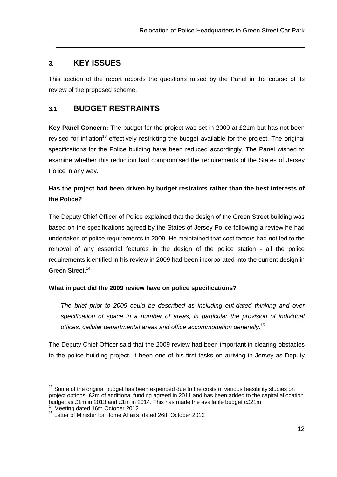## **3. KEY ISSUES**

This section of the report records the questions raised by the Panel in the course of its review of the proposed scheme.

## **3.1 BUDGET RESTRAINTS**

**Key Panel Concern:** The budget for the project was set in 2000 at £21m but has not been revised for inflation<sup>13</sup> effectively restricting the budget available for the project. The original specifications for the Police building have been reduced accordingly. The Panel wished to examine whether this reduction had compromised the requirements of the States of Jersey Police in any way.

## **Has the project had been driven by budget restraints rather than the best interests of the Police?**

The Deputy Chief Officer of Police explained that the design of the Green Street building was based on the specifications agreed by the States of Jersey Police following a review he had undertaken of police requirements in 2009. He maintained that cost factors had not led to the removal of any essential features in the design of the police station - all the police requirements identified in his review in 2009 had been incorporated into the current design in Green Street.<sup>14</sup>

#### **What impact did the 2009 review have on police specifications?**

The brief prior to 2009 could be described as including out-dated thinking and over specification of space in a number of areas, in particular the provision of individual offices, cellular departmental areas and office accommodation generally.<sup>15</sup>

The Deputy Chief Officer said that the 2009 review had been important in clearing obstacles to the police building project. It been one of his first tasks on arriving in Jersey as Deputy

 $13$  Some of the original budget has been expended due to the costs of various feasibility studies on project options. £2m of additional funding agreed in 2011 and has been added to the capital allocation budget as £1m in 2013 and £1m in 2014. This has made the available budget c£21m <sup>14</sup> Meeting dated 16th October 2012

<sup>&</sup>lt;sup>15</sup> Letter of Minister for Home Affairs, dated 26th October 2012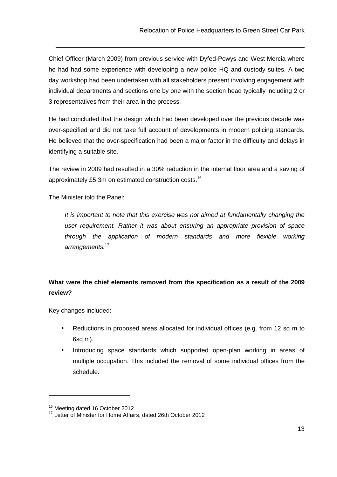Chief Officer (March 2009) from previous service with Dyfed-Powys and West Mercia where he had had some experience with developing a new police HQ and custody suites. A two day workshop had been undertaken with all stakeholders present involving engagement with individual departments and sections one by one with the section head typically including 2 or 3 representatives from their area in the process.

He had concluded that the design which had been developed over the previous decade was over-specified and did not take full account of developments in modern policing standards. He believed that the over-specification had been a major factor in the difficulty and delays in identifying a suitable site.

The review in 2009 had resulted in a 30% reduction in the internal floor area and a saving of approximately £5.3m on estimated construction costs.<sup>16</sup>

The Minister told the Panel:

It is important to note that this exercise was not aimed at fundamentally changing the user requirement. Rather it was about ensuring an appropriate provision of space through the application of modern standards and more flexible working arrangements.<sup>17</sup>

## **What were the chief elements removed from the specification as a result of the 2009 review?**

Key changes included:

- Reductions in proposed areas allocated for individual offices (e.g. from 12 sq m to 6sq m).
- Introducing space standards which supported open-plan working in areas of multiple occupation. This included the removal of some individual offices from the schedule.

<sup>&</sup>lt;sup>16</sup> Meeting dated 16 October 2012

<sup>&</sup>lt;sup>17</sup> Letter of Minister for Home Affairs, dated 26th October 2012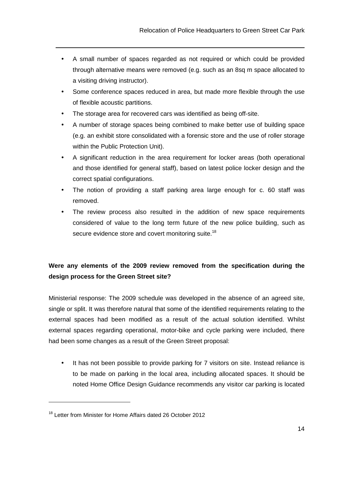- A small number of spaces regarded as not required or which could be provided through alternative means were removed (e.g. such as an 8sq m space allocated to a visiting driving instructor).
- Some conference spaces reduced in area, but made more flexible through the use of flexible acoustic partitions.
- The storage area for recovered cars was identified as being off-site.

 $\overline{a}$ 

- A number of storage spaces being combined to make better use of building space (e.g. an exhibit store consolidated with a forensic store and the use of roller storage within the Public Protection Unit).
- A significant reduction in the area requirement for locker areas (both operational and those identified for general staff), based on latest police locker design and the correct spatial configurations.
- The notion of providing a staff parking area large enough for c. 60 staff was removed.
- The review process also resulted in the addition of new space requirements considered of value to the long term future of the new police building, such as secure evidence store and covert monitoring suite.<sup>18</sup>

## **Were any elements of the 2009 review removed from the specification during the design process for the Green Street site?**

Ministerial response: The 2009 schedule was developed in the absence of an agreed site, single or split. It was therefore natural that some of the identified requirements relating to the external spaces had been modified as a result of the actual solution identified. Whilst external spaces regarding operational, motor-bike and cycle parking were included, there had been some changes as a result of the Green Street proposal:

• It has not been possible to provide parking for 7 visitors on site. Instead reliance is to be made on parking in the local area, including allocated spaces. It should be noted Home Office Design Guidance recommends any visitor car parking is located

<sup>&</sup>lt;sup>18</sup> Letter from Minister for Home Affairs dated 26 October 2012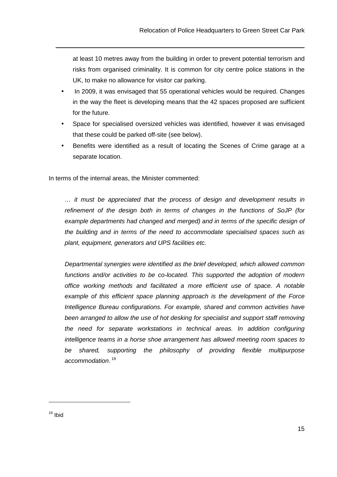at least 10 metres away from the building in order to prevent potential terrorism and risks from organised criminality. It is common for city centre police stations in the UK, to make no allowance for visitor car parking.

- In 2009, it was envisaged that 55 operational vehicles would be required. Changes in the way the fleet is developing means that the 42 spaces proposed are sufficient for the future.
- Space for specialised oversized vehicles was identified, however it was envisaged that these could be parked off-site (see below).
- Benefits were identified as a result of locating the Scenes of Crime garage at a separate location.

In terms of the internal areas, the Minister commented:

… it must be appreciated that the process of design and development results in refinement of the design both in terms of changes in the functions of SoJP (for example departments had changed and merged) and in terms of the specific design of the building and in terms of the need to accommodate specialised spaces such as plant, equipment, generators and UPS facilities etc.

Departmental synergies were identified as the brief developed, which allowed common functions and/or activities to be co-located. This supported the adoption of modern office working methods and facilitated a more efficient use of space. A notable example of this efficient space planning approach is the development of the Force Intelligence Bureau configurations. For example, shared and common activities have been arranged to allow the use of hot desking for specialist and support staff removing the need for separate workstations in technical areas. In addition configuring intelligence teams in a horse shoe arrangement has allowed meeting room spaces to be shared, supporting the philosophy of providing flexible multipurpose accommodation.<sup>19</sup>

 $19$  Ibid

 $\overline{a}$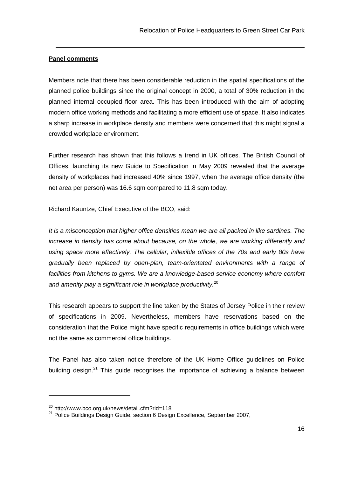#### **Panel comments**

Members note that there has been considerable reduction in the spatial specifications of the planned police buildings since the original concept in 2000, a total of 30% reduction in the planned internal occupied floor area. This has been introduced with the aim of adopting modern office working methods and facilitating a more efficient use of space. It also indicates a sharp increase in workplace density and members were concerned that this might signal a crowded workplace environment.

Further research has shown that this follows a trend in UK offices. The British Council of Offices, launching its new Guide to Specification in May 2009 revealed that the average density of workplaces had increased 40% since 1997, when the average office density (the net area per person) was 16.6 sqm compared to 11.8 sqm today.

Richard Kauntze, Chief Executive of the BCO, said:

It is a misconception that higher office densities mean we are all packed in like sardines. The increase in density has come about because, on the whole, we are working differently and using space more effectively. The cellular, inflexible offices of the 70s and early 80s have gradually been replaced by open-plan, team-orientated environments with a range of facilities from kitchens to gyms. We are a knowledge-based service economy where comfort and amenity play a significant role in workplace productivity. $20$ 

This research appears to support the line taken by the States of Jersey Police in their review of specifications in 2009. Nevertheless, members have reservations based on the consideration that the Police might have specific requirements in office buildings which were not the same as commercial office buildings.

The Panel has also taken notice therefore of the UK Home Office guidelines on Police building design. $21$  This guide recognises the importance of achieving a balance between

<sup>&</sup>lt;sup>20</sup> http://www.bco.org.uk/news/detail.cfm?rid=118

 $21$  Police Buildings Design Guide, section 6 Design Excellence, September 2007,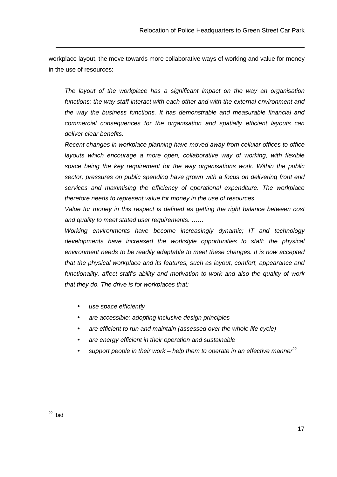workplace layout, the move towards more collaborative ways of working and value for money in the use of resources:

The layout of the workplace has a significant impact on the way an organisation functions: the way staff interact with each other and with the external environment and the way the business functions. It has demonstrable and measurable financial and commercial consequences for the organisation and spatially efficient layouts can deliver clear benefits.

Recent changes in workplace planning have moved away from cellular offices to office layouts which encourage a more open, collaborative way of working, with flexible space being the key requirement for the way organisations work. Within the public sector, pressures on public spending have grown with a focus on delivering front end services and maximising the efficiency of operational expenditure. The workplace therefore needs to represent value for money in the use of resources.

Value for money in this respect is defined as getting the right balance between cost and quality to meet stated user requirements. ……

Working environments have become increasingly dynamic; IT and technology developments have increased the workstyle opportunities to staff: the physical environment needs to be readily adaptable to meet these changes. It is now accepted that the physical workplace and its features, such as layout, comfort, appearance and functionality, affect staff's ability and motivation to work and also the quality of work that they do. The drive is for workplaces that:

- use space efficiently
- are accessible: adopting inclusive design principles
- are efficient to run and maintain (assessed over the whole life cycle)
- are energy efficient in their operation and sustainable
- support people in their work help them to operate in an effective manner  $2^2$

 $22$  Ibid

 $\overline{a}$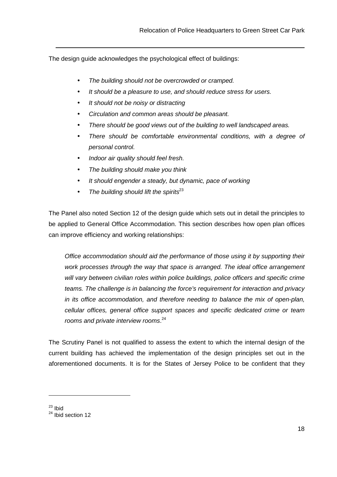The design guide acknowledges the psychological effect of buildings:

- The building should not be overcrowded or cramped.
- It should be a pleasure to use, and should reduce stress for users.
- It should not be noisy or distracting
- Circulation and common areas should be pleasant.
- There should be good views out of the building to well landscaped areas.
- There should be comfortable environmental conditions, with a degree of personal control.
- Indoor air quality should feel fresh.
- The building should make you think
- It should engender a steady, but dynamic, pace of working
- The building should lift the spirits<sup>23</sup>

The Panel also noted Section 12 of the design guide which sets out in detail the principles to be applied to General Office Accommodation. This section describes how open plan offices can improve efficiency and working relationships:

Office accommodation should aid the performance of those using it by supporting their work processes through the way that space is arranged. The ideal office arrangement will vary between civilian roles within police buildings, police officers and specific crime teams. The challenge is in balancing the force's requirement for interaction and privacy in its office accommodation, and therefore needing to balance the mix of open-plan, cellular offices, general office support spaces and specific dedicated crime or team rooms and private interview rooms.<sup>24</sup>

The Scrutiny Panel is not qualified to assess the extent to which the internal design of the current building has achieved the implementation of the design principles set out in the aforementioned documents. It is for the States of Jersey Police to be confident that they

 $23$  Ibid

 $^{24}$  Ibid section 12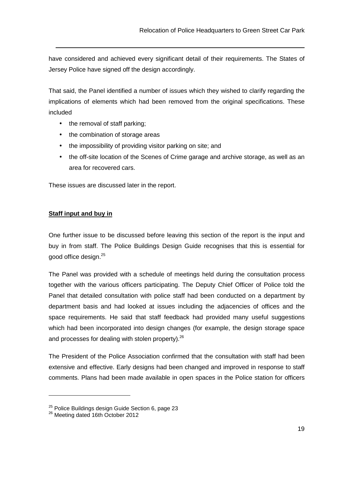have considered and achieved every significant detail of their requirements. The States of Jersey Police have signed off the design accordingly.

That said, the Panel identified a number of issues which they wished to clarify regarding the implications of elements which had been removed from the original specifications. These included

- the removal of staff parking;
- the combination of storage areas
- the impossibility of providing visitor parking on site; and
- the off-site location of the Scenes of Crime garage and archive storage, as well as an area for recovered cars.

These issues are discussed later in the report.

#### **Staff input and buy in**

One further issue to be discussed before leaving this section of the report is the input and buy in from staff. The Police Buildings Design Guide recognises that this is essential for good office design.<sup>25</sup>

The Panel was provided with a schedule of meetings held during the consultation process together with the various officers participating. The Deputy Chief Officer of Police told the Panel that detailed consultation with police staff had been conducted on a department by department basis and had looked at issues including the adjacencies of offices and the space requirements. He said that staff feedback had provided many useful suggestions which had been incorporated into design changes (for example, the design storage space and processes for dealing with stolen property).<sup>26</sup>

The President of the Police Association confirmed that the consultation with staff had been extensive and effective. Early designs had been changed and improved in response to staff comments. Plans had been made available in open spaces in the Police station for officers

 $^{25}$  Police Buildings design Guide Section 6, page 23

 $26$  Meeting dated 16th October 2012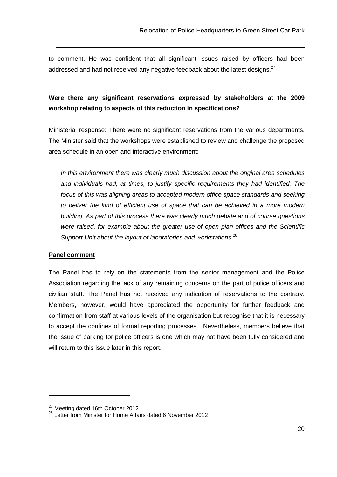to comment. He was confident that all significant issues raised by officers had been addressed and had not received any negative feedback about the latest designs. $^{27}$ 

## **Were there any significant reservations expressed by stakeholders at the 2009 workshop relating to aspects of this reduction in specifications?**

Ministerial response: There were no significant reservations from the various departments. The Minister said that the workshops were established to review and challenge the proposed area schedule in an open and interactive environment:

In this environment there was clearly much discussion about the original area schedules and individuals had, at times, to justify specific requirements they had identified. The focus of this was aligning areas to accepted modern office space standards and seeking to deliver the kind of efficient use of space that can be achieved in a more modern building. As part of this process there was clearly much debate and of course questions were raised, for example about the greater use of open plan offices and the Scientific Support Unit about the layout of laboratories and workstations.<sup>28</sup>

#### **Panel comment**

The Panel has to rely on the statements from the senior management and the Police Association regarding the lack of any remaining concerns on the part of police officers and civilian staff. The Panel has not received any indication of reservations to the contrary. Members, however, would have appreciated the opportunity for further feedback and confirmation from staff at various levels of the organisation but recognise that it is necessary to accept the confines of formal reporting processes. Nevertheless, members believe that the issue of parking for police officers is one which may not have been fully considered and will return to this issue later in this report.

<sup>&</sup>lt;sup>27</sup> Meeting dated 16th October 2012

<sup>&</sup>lt;sup>28</sup> Letter from Minister for Home Affairs dated 6 November 2012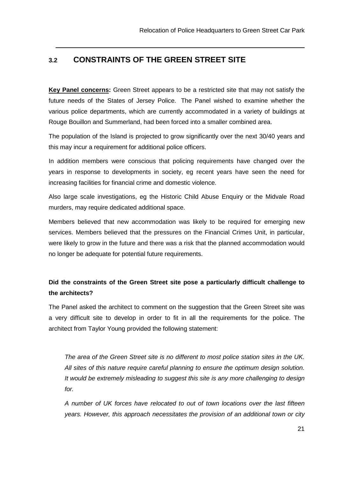## **3.2 CONSTRAINTS OF THE GREEN STREET SITE**

**Key Panel concerns:** Green Street appears to be a restricted site that may not satisfy the future needs of the States of Jersey Police. The Panel wished to examine whether the various police departments, which are currently accommodated in a variety of buildings at Rouge Bouillon and Summerland, had been forced into a smaller combined area.

The population of the Island is projected to grow significantly over the next 30/40 years and this may incur a requirement for additional police officers.

In addition members were conscious that policing requirements have changed over the years in response to developments in society, eg recent years have seen the need for increasing facilities for financial crime and domestic violence.

Also large scale investigations, eg the Historic Child Abuse Enquiry or the Midvale Road murders, may require dedicated additional space.

Members believed that new accommodation was likely to be required for emerging new services. Members believed that the pressures on the Financial Crimes Unit, in particular, were likely to grow in the future and there was a risk that the planned accommodation would no longer be adequate for potential future requirements.

## **Did the constraints of the Green Street site pose a particularly difficult challenge to the architects?**

The Panel asked the architect to comment on the suggestion that the Green Street site was a very difficult site to develop in order to fit in all the requirements for the police. The architect from Taylor Young provided the following statement:

The area of the Green Street site is no different to most police station sites in the UK. All sites of this nature require careful planning to ensure the optimum design solution. It would be extremely misleading to suggest this site is any more challenging to design for.

A number of UK forces have relocated to out of town locations over the last fifteen years. However, this approach necessitates the provision of an additional town or city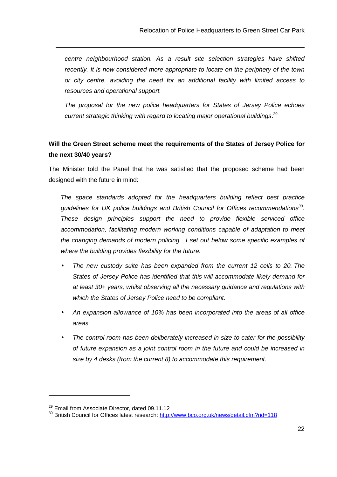centre neighbourhood station. As a result site selection strategies have shifted recently. It is now considered more appropriate to locate on the periphery of the town or city centre, avoiding the need for an additional facility with limited access to resources and operational support.

The proposal for the new police headquarters for States of Jersey Police echoes current strategic thinking with regard to locating major operational buildings.<sup>29</sup>

## **Will the Green Street scheme meet the requirements of the States of Jersey Police for the next 30/40 years?**

The Minister told the Panel that he was satisfied that the proposed scheme had been designed with the future in mind:

The space standards adopted for the headquarters building reflect best practice guidelines for UK police buildings and British Council for Offices recommendations $30$ . These design principles support the need to provide flexible serviced office accommodation, facilitating modern working conditions capable of adaptation to meet the changing demands of modern policing. I set out below some specific examples of where the building provides flexibility for the future:

- The new custody suite has been expanded from the current 12 cells to 20. The States of Jersey Police has identified that this will accommodate likely demand for at least 30+ years, whilst observing all the necessary guidance and regulations with which the States of Jersey Police need to be compliant.
- An expansion allowance of 10% has been incorporated into the areas of all office areas.
- The control room has been deliberately increased in size to cater for the possibility of future expansion as a joint control room in the future and could be increased in size by 4 desks (from the current 8) to accommodate this requirement.

<sup>&</sup>lt;sup>29</sup> Email from Associate Director, dated 09.11.12

<sup>&</sup>lt;sup>30</sup> British Council for Offices latest research: http://www.bco.org.uk/news/detail.cfm?rid=118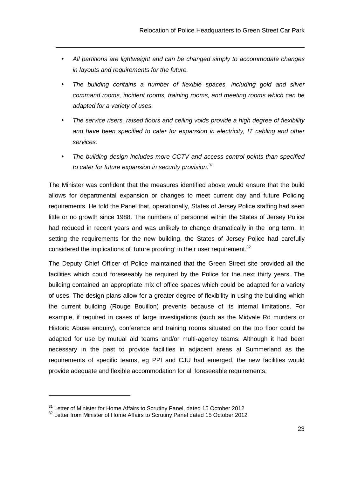All partitions are lightweight and can be changed simply to accommodate changes in layouts and requirements for the future.

- The building contains a number of flexible spaces, including gold and silver command rooms, incident rooms, training rooms, and meeting rooms which can be adapted for a variety of uses.
- The service risers, raised floors and ceiling voids provide a high degree of flexibility and have been specified to cater for expansion in electricity, IT cabling and other services.
- The building design includes more CCTV and access control points than specified to cater for future expansion in security provision. $31$

The Minister was confident that the measures identified above would ensure that the build allows for departmental expansion or changes to meet current day and future Policing requirements. He told the Panel that, operationally, States of Jersey Police staffing had seen little or no growth since 1988. The numbers of personnel within the States of Jersey Police had reduced in recent years and was unlikely to change dramatically in the long term. In setting the requirements for the new building, the States of Jersey Police had carefully considered the implications of 'future proofing' in their user requirement. $32$ 

The Deputy Chief Officer of Police maintained that the Green Street site provided all the facilities which could foreseeably be required by the Police for the next thirty years. The building contained an appropriate mix of office spaces which could be adapted for a variety of uses. The design plans allow for a greater degree of flexibility in using the building which the current building (Rouge Bouillon) prevents because of its internal limitations. For example, if required in cases of large investigations (such as the Midvale Rd murders or Historic Abuse enquiry), conference and training rooms situated on the top floor could be adapted for use by mutual aid teams and/or multi-agency teams. Although it had been necessary in the past to provide facilities in adjacent areas at Summerland as the requirements of specific teams, eg PPI and CJU had emerged, the new facilities would provide adequate and flexible accommodation for all foreseeable requirements.

 $31$  Letter of Minister for Home Affairs to Scrutiny Panel, dated 15 October 2012

 $32$  Letter from Minister of Home Affairs to Scrutiny Panel dated 15 October 2012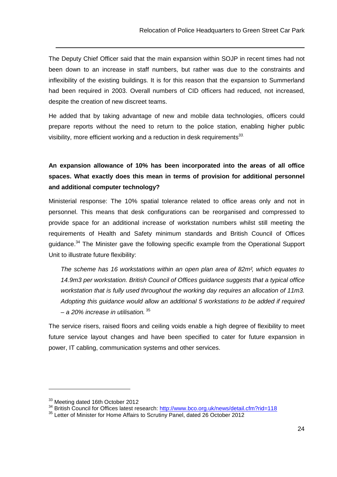The Deputy Chief Officer said that the main expansion within SOJP in recent times had not been down to an increase in staff numbers, but rather was due to the constraints and inflexibility of the existing buildings. It is for this reason that the expansion to Summerland had been required in 2003. Overall numbers of CID officers had reduced, not increased, despite the creation of new discreet teams.

He added that by taking advantage of new and mobile data technologies, officers could prepare reports without the need to return to the police station, enabling higher public visibility, more efficient working and a reduction in desk requirements $^{33}$ .

**An expansion allowance of 10% has been incorporated into the areas of all office spaces. What exactly does this mean in terms of provision for additional personnel and additional computer technology?** 

Ministerial response: The 10% spatial tolerance related to office areas only and not in personnel. This means that desk configurations can be reorganised and compressed to provide space for an additional increase of workstation numbers whilst still meeting the requirements of Health and Safety minimum standards and British Council of Offices guidance.<sup>34</sup> The Minister gave the following specific example from the Operational Support Unit to illustrate future flexibility:

The scheme has 16 workstations within an open plan area of 82m<sup>2</sup>, which equates to 14.9m3 per workstation. British Council of Offices guidance suggests that a typical office workstation that is fully used throughout the working day requires an allocation of 11m3. Adopting this guidance would allow an additional 5 workstations to be added if required – a 20% increase in utilisation.  $35$ 

The service risers, raised floors and ceiling voids enable a high degree of flexibility to meet future service layout changes and have been specified to cater for future expansion in power, IT cabling, communication systems and other services.

<sup>&</sup>lt;sup>33</sup> Meeting dated 16th October 2012

<sup>&</sup>lt;sup>34</sup> British Council for Offices latest research: http://www.bco.org.uk/news/detail.cfm?rid=118

<sup>&</sup>lt;sup>35</sup> Letter of Minister for Home Affairs to Scrutiny Panel, dated 26 October 2012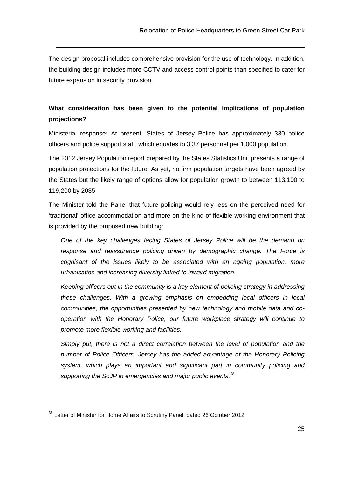The design proposal includes comprehensive provision for the use of technology. In addition, the building design includes more CCTV and access control points than specified to cater for future expansion in security provision.

 $\overline{a}$ 

## **What consideration has been given to the potential implications of population projections?**

Ministerial response: At present, States of Jersey Police has approximately 330 police officers and police support staff, which equates to 3.37 personnel per 1,000 population.

The 2012 Jersey Population report prepared by the States Statistics Unit presents a range of population projections for the future. As yet, no firm population targets have been agreed by the States but the likely range of options allow for population growth to between 113,100 to 119,200 by 2035.

The Minister told the Panel that future policing would rely less on the perceived need for 'traditional' office accommodation and more on the kind of flexible working environment that is provided by the proposed new building:

One of the key challenges facing States of Jersey Police will be the demand on response and reassurance policing driven by demographic change. The Force is cognisant of the issues likely to be associated with an ageing population, more urbanisation and increasing diversity linked to inward migration.

Keeping officers out in the community is a key element of policing strategy in addressing these challenges. With a growing emphasis on embedding local officers in local communities, the opportunities presented by new technology and mobile data and cooperation with the Honorary Police, our future workplace strategy will continue to promote more flexible working and facilities.

Simply put, there is not a direct correlation between the level of population and the number of Police Officers. Jersey has the added advantage of the Honorary Policing system, which plays an important and significant part in community policing and supporting the SoJP in emergencies and major public events. $36$ 

<sup>&</sup>lt;sup>36</sup> Letter of Minister for Home Affairs to Scrutiny Panel, dated 26 October 2012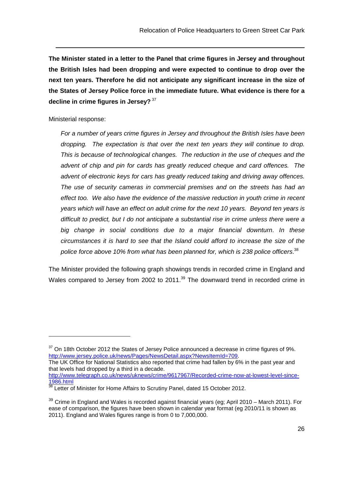**The Minister stated in a letter to the Panel that crime figures in Jersey and throughout the British Isles had been dropping and were expected to continue to drop over the next ten years. Therefore he did not anticipate any significant increase in the size of the States of Jersey Police force in the immediate future. What evidence is there for a decline in crime figures in Jersey?**<sup>37</sup>

Ministerial response:

For a number of years crime figures in Jersey and throughout the British Isles have been dropping. The expectation is that over the next ten years they will continue to drop. This is because of technological changes. The reduction in the use of cheques and the advent of chip and pin for cards has greatly reduced cheque and card offences. The advent of electronic keys for cars has greatly reduced taking and driving away offences. The use of security cameras in commercial premises and on the streets has had an effect too. We also have the evidence of the massive reduction in youth crime in recent years which will have an effect on adult crime for the next 10 years. Beyond ten years is difficult to predict, but I do not anticipate a substantial rise in crime unless there were a big change in social conditions due to a major financial downturn. In these circumstances it is hard to see that the Island could afford to increase the size of the police force above 10% from what has been planned for, which is 238 police officers. $^{38}$ 

The Minister provided the following graph showings trends in recorded crime in England and Wales compared to Jersey from 2002 to 2011.<sup>39</sup> The downward trend in recorded crime in

The UK Office for National Statistics also reported that crime had fallen by 6% in the past year and that levels had dropped by a third in a decade. http://www.telegraph.co.uk/news/uknews/crime/9617967/Recorded-crime-now-at-lowest-level-since-

1986.html

 $37$  On 18th October 2012 the States of Jersey Police announced a decrease in crime figures of 9%. http://www.jersey.police.uk/news/Pages/NewsDetail.aspx?NewsItemId=709.

**<sup>1900.1000</sup>**<br><sup>38</sup> Letter of Minister for Home Affairs to Scrutiny Panel, dated 15 October 2012.

 $39$  Crime in England and Wales is recorded against financial years (eg; April 2010 – March 2011). For ease of comparison, the figures have been shown in calendar year format (eg 2010/11 is shown as 2011). England and Wales figures range is from 0 to 7,000,000.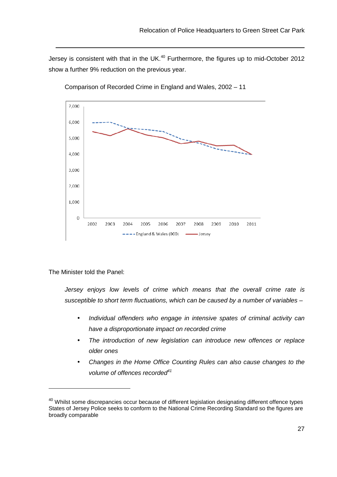Jersey is consistent with that in the UK.<sup>40</sup> Furthermore, the figures up to mid-October 2012 show a further 9% reduction on the previous year.



Comparison of Recorded Crime in England and Wales, 2002 – 11

The Minister told the Panel:

 $\overline{a}$ 

 Jersey enjoys low levels of crime which means that the overall crime rate is susceptible to short term fluctuations, which can be caused by a number of variables -

- Individual offenders who engage in intensive spates of criminal activity can have a disproportionate impact on recorded crime
- The introduction of new legislation can introduce new offences or replace older ones
- Changes in the Home Office Counting Rules can also cause changes to the volume of offences recorded $41$

<sup>&</sup>lt;sup>40</sup> Whilst some discrepancies occur because of different legislation designating different offence types States of Jersey Police seeks to conform to the National Crime Recording Standard so the figures are broadly comparable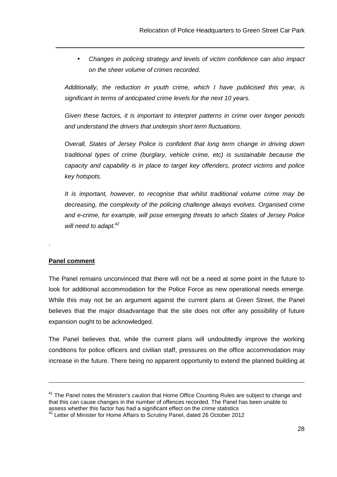• Changes in policing strategy and levels of victim confidence can also impact on the sheer volume of crimes recorded.

Additionally, the reduction in youth crime, which I have publicised this year, is significant in terms of anticipated crime levels for the next 10 years.

Given these factors, it is important to interpret patterns in crime over longer periods and understand the drivers that underpin short term fluctuations.

Overall, States of Jersey Police is confident that long term change in driving down traditional types of crime (burglary, vehicle crime, etc) is sustainable because the capacity and capability is in place to target key offenders, protect victims and police key hotspots.

It is important, however, to recognise that whilst traditional volume crime may be decreasing, the complexity of the policing challenge always evolves. Organised crime and e-crime, for example, will pose emerging threats to which States of Jersey Police will need to adapt. $42$ 

#### **Panel comment**

.

 $\overline{a}$ 

The Panel remains unconvinced that there will not be a need at some point in the future to look for additional accommodation for the Police Force as new operational needs emerge. While this may not be an argument against the current plans at Green Street, the Panel believes that the major disadvantage that the site does not offer any possibility of future expansion ought to be acknowledged.

The Panel believes that, while the current plans will undoubtedly improve the working conditions for police officers and civilian staff, pressures on the office accommodation may increase in the future. There being no apparent opportunity to extend the planned building at

 $41$  The Panel notes the Minister's caution that Home Office Counting Rules are subject to change and that this can cause changes in the number of offences recorded. The Panel has been unable to assess whether this factor has had a significant effect on the crime statistics

 $42$  Letter of Minister for Home Affairs to Scrutiny Panel, dated 26 October 2012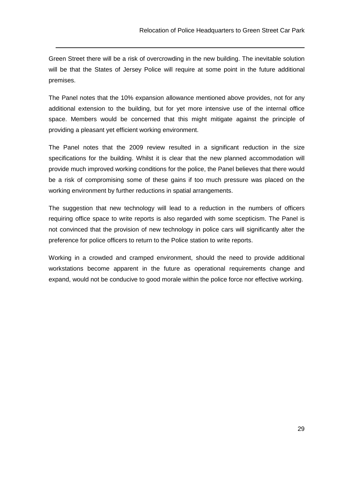Green Street there will be a risk of overcrowding in the new building. The inevitable solution will be that the States of Jersey Police will require at some point in the future additional premises.

The Panel notes that the 10% expansion allowance mentioned above provides, not for any additional extension to the building, but for yet more intensive use of the internal office space. Members would be concerned that this might mitigate against the principle of providing a pleasant yet efficient working environment.

The Panel notes that the 2009 review resulted in a significant reduction in the size specifications for the building. Whilst it is clear that the new planned accommodation will provide much improved working conditions for the police, the Panel believes that there would be a risk of compromising some of these gains if too much pressure was placed on the working environment by further reductions in spatial arrangements.

The suggestion that new technology will lead to a reduction in the numbers of officers requiring office space to write reports is also regarded with some scepticism. The Panel is not convinced that the provision of new technology in police cars will significantly alter the preference for police officers to return to the Police station to write reports.

Working in a crowded and cramped environment, should the need to provide additional workstations become apparent in the future as operational requirements change and expand, would not be conducive to good morale within the police force nor effective working.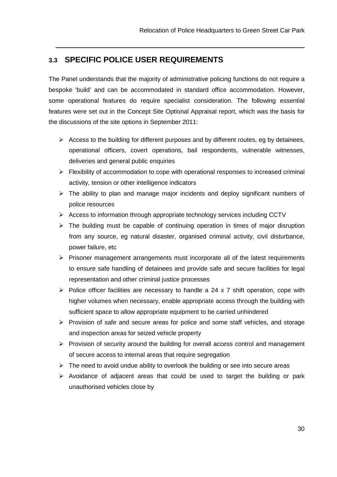## **3.3 SPECIFIC POLICE USER REQUIREMENTS**

The Panel understands that the majority of administrative policing functions do not require a bespoke 'build' and can be accommodated in standard office accommodation. However, some operational features do require specialist consideration. The following essential features were set out in the Concept Site Optional Appraisal report, which was the basis for the discussions of the site options in September 2011:

- $\triangleright$  Access to the building for different purposes and by different routes, eg by detainees, operational officers, covert operations, bail respondents, vulnerable witnesses, deliveries and general public enquiries
- $\triangleright$  Flexibility of accommodation to cope with operational responses to increased criminal activity, tension or other intelligence indicators
- $\triangleright$  The ability to plan and manage major incidents and deploy significant numbers of police resources
- $\triangleright$  Access to information through appropriate technology services including CCTV
- $\triangleright$  The building must be capable of continuing operation in times of major disruption from any source, eg natural disaster, organised criminal activity, civil disturbance, power failure, etc
- $\triangleright$  Prisoner management arrangements must incorporate all of the latest requirements to ensure safe handling of detainees and provide safe and secure facilities for legal representation and other criminal justice processes
- $\triangleright$  Police officer facilities are necessary to handle a 24 x 7 shift operation, cope with higher volumes when necessary, enable appropriate access through the building with sufficient space to allow appropriate equipment to be carried unhindered
- $\triangleright$  Provision of safe and secure areas for police and some staff vehicles, and storage and inspection areas for seized vehicle property
- $\triangleright$  Provision of security around the building for overall access control and management of secure access to internal areas that require segregation
- $\triangleright$  The need to avoid undue ability to overlook the building or see into secure areas
- $\triangleright$  Avoidance of adjacent areas that could be used to target the building or park unauthorised vehicles close by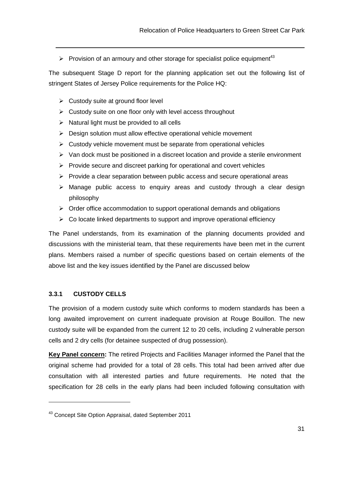Provision of an armoury and other storage for specialist police equipment<sup>43</sup>

The subsequent Stage D report for the planning application set out the following list of stringent States of Jersey Police requirements for the Police HQ:

 $\triangleright$  Custody suite at ground floor level

- $\triangleright$  Custody suite on one floor only with level access throughout
- $\triangleright$  Natural light must be provided to all cells
- $\triangleright$  Design solution must allow effective operational vehicle movement
- $\triangleright$  Custody vehicle movement must be separate from operational vehicles
- $\triangleright$  Van dock must be positioned in a discreet location and provide a sterile environment
- $\triangleright$  Provide secure and discreet parking for operational and covert vehicles
- $\triangleright$  Provide a clear separation between public access and secure operational areas
- $\triangleright$  Manage public access to enquiry areas and custody through a clear design philosophy
- $\triangleright$  Order office accommodation to support operational demands and obligations
- $\triangleright$  Co locate linked departments to support and improve operational efficiency

The Panel understands, from its examination of the planning documents provided and discussions with the ministerial team, that these requirements have been met in the current plans. Members raised a number of specific questions based on certain elements of the above list and the key issues identified by the Panel are discussed below

#### **3.3.1 CUSTODY CELLS**

 $\overline{a}$ 

The provision of a modern custody suite which conforms to modern standards has been a long awaited improvement on current inadequate provision at Rouge Bouillon. The new custody suite will be expanded from the current 12 to 20 cells, including 2 vulnerable person cells and 2 dry cells (for detainee suspected of drug possession).

**Key Panel concern:** The retired Projects and Facilities Manager informed the Panel that the original scheme had provided for a total of 28 cells. This total had been arrived after due consultation with all interested parties and future requirements. He noted that the specification for 28 cells in the early plans had been included following consultation with

<sup>43</sup> Concept Site Option Appraisal, dated September 2011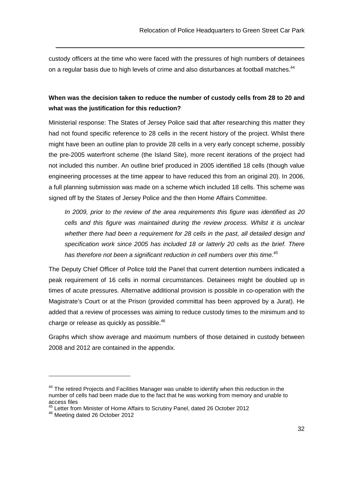custody officers at the time who were faced with the pressures of high numbers of detainees on a regular basis due to high levels of crime and also disturbances at football matches.<sup>44</sup>

## **When was the decision taken to reduce the number of custody cells from 28 to 20 and what was the justification for this reduction?**

Ministerial response: The States of Jersey Police said that after researching this matter they had not found specific reference to 28 cells in the recent history of the project. Whilst there might have been an outline plan to provide 28 cells in a very early concept scheme, possibly the pre-2005 waterfront scheme (the Island Site), more recent iterations of the project had not included this number. An outline brief produced in 2005 identified 18 cells (though value engineering processes at the time appear to have reduced this from an original 20). In 2006, a full planning submission was made on a scheme which included 18 cells. This scheme was signed off by the States of Jersey Police and the then Home Affairs Committee.

In 2009, prior to the review of the area requirements this figure was identified as 20 cells and this figure was maintained during the review process. Whilst it is unclear whether there had been a requirement for 28 cells in the past, all detailed design and specification work since 2005 has included 18 or latterly 20 cells as the brief. There has therefore not been a significant reduction in cell numbers over this time.<sup>45</sup>

The Deputy Chief Officer of Police told the Panel that current detention numbers indicated a peak requirement of 16 cells in normal circumstances. Detainees might be doubled up in times of acute pressures. Alternative additional provision is possible in co-operation with the Magistrate's Court or at the Prison (provided committal has been approved by a Jurat). He added that a review of processes was aiming to reduce custody times to the minimum and to charge or release as quickly as possible. $^{46}$ 

Graphs which show average and maximum numbers of those detained in custody between 2008 and 2012 are contained in the appendix.

<sup>&</sup>lt;sup>44</sup> The retired Projects and Facilities Manager was unable to identify when this reduction in the number of cells had been made due to the fact that he was working from memory and unable to access files

<sup>&</sup>lt;sup>45</sup> Letter from Minister of Home Affairs to Scrutiny Panel, dated 26 October 2012

<sup>46</sup> **Meeting dated 26 October 2012**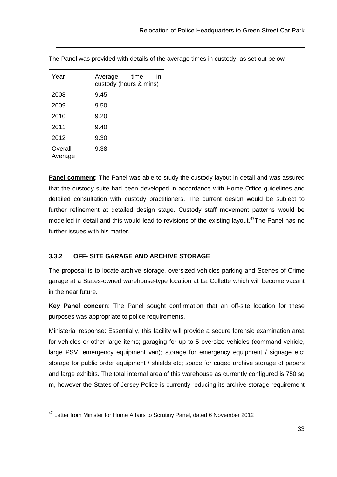| Year               | Average time<br>ın<br>custody (hours & mins) |
|--------------------|----------------------------------------------|
| 2008               | 9.45                                         |
| 2009               | 9.50                                         |
| 2010               | 9.20                                         |
| 2011               | 9.40                                         |
| 2012               | 9.30                                         |
| Overall<br>Average | 9.38                                         |

 $\overline{a}$ 

The Panel was provided with details of the average times in custody, as set out below

**Panel comment**: The Panel was able to study the custody layout in detail and was assured that the custody suite had been developed in accordance with Home Office guidelines and detailed consultation with custody practitioners. The current design would be subject to further refinement at detailed design stage. Custody staff movement patterns would be modelled in detail and this would lead to revisions of the existing layout.<sup>47</sup>The Panel has no further issues with his matter.

#### **3.3.2 OFF- SITE GARAGE AND ARCHIVE STORAGE**

The proposal is to locate archive storage, oversized vehicles parking and Scenes of Crime garage at a States-owned warehouse-type location at La Collette which will become vacant in the near future.

**Key Panel concern**: The Panel sought confirmation that an off-site location for these purposes was appropriate to police requirements.

Ministerial response: Essentially, this facility will provide a secure forensic examination area for vehicles or other large items; garaging for up to 5 oversize vehicles (command vehicle, large PSV, emergency equipment van); storage for emergency equipment / signage etc; storage for public order equipment / shields etc; space for caged archive storage of papers and large exhibits. The total internal area of this warehouse as currently configured is 750 sq m, however the States of Jersey Police is currently reducing its archive storage requirement

<sup>&</sup>lt;sup>47</sup> Letter from Minister for Home Affairs to Scrutiny Panel, dated 6 November 2012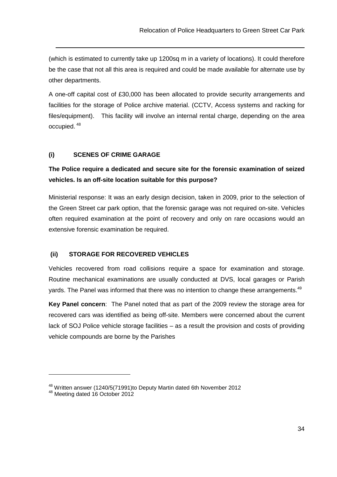(which is estimated to currently take up 1200sq m in a variety of locations). It could therefore be the case that not all this area is required and could be made available for alternate use by other departments.

A one-off capital cost of £30,000 has been allocated to provide security arrangements and facilities for the storage of Police archive material. (CCTV, Access systems and racking for files/equipment). This facility will involve an internal rental charge, depending on the area occupied.<sup>48</sup>

#### **(i) SCENES OF CRIME GARAGE**

## **The Police require a dedicated and secure site for the forensic examination of seized vehicles. Is an off-site location suitable for this purpose?**

Ministerial response: It was an early design decision, taken in 2009, prior to the selection of the Green Street car park option, that the forensic garage was not required on-site. Vehicles often required examination at the point of recovery and only on rare occasions would an extensive forensic examination be required.

#### **(ii) STORAGE FOR RECOVERED VEHICLES**

Vehicles recovered from road collisions require a space for examination and storage. Routine mechanical examinations are usually conducted at DVS, local garages or Parish yards. The Panel was informed that there was no intention to change these arrangements.<sup>49</sup>

**Key Panel concern**: The Panel noted that as part of the 2009 review the storage area for recovered cars was identified as being off-site. Members were concerned about the current lack of SOJ Police vehicle storage facilities – as a result the provision and costs of providing vehicle compounds are borne by the Parishes

 $\overline{a}$ 

<sup>48</sup> Written answer (1240/5(71991)to Deputy Martin dated 6th November 2012

<sup>48</sup> Meeting dated 16 October 2012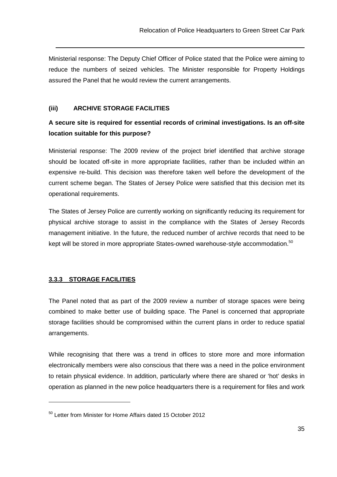Ministerial response: The Deputy Chief Officer of Police stated that the Police were aiming to reduce the numbers of seized vehicles. The Minister responsible for Property Holdings assured the Panel that he would review the current arrangements.

#### **(iii) ARCHIVE STORAGE FACILITIES**

## **A secure site is required for essential records of criminal investigations. Is an off-site location suitable for this purpose?**

Ministerial response: The 2009 review of the project brief identified that archive storage should be located off-site in more appropriate facilities, rather than be included within an expensive re-build. This decision was therefore taken well before the development of the current scheme began. The States of Jersey Police were satisfied that this decision met its operational requirements.

The States of Jersey Police are currently working on significantly reducing its requirement for physical archive storage to assist in the compliance with the States of Jersey Records management initiative. In the future, the reduced number of archive records that need to be kept will be stored in more appropriate States-owned warehouse-style accommodation.<sup>50</sup>

#### **3.3.3 STORAGE FACILITIES**

 $\overline{a}$ 

The Panel noted that as part of the 2009 review a number of storage spaces were being combined to make better use of building space. The Panel is concerned that appropriate storage facilities should be compromised within the current plans in order to reduce spatial arrangements.

While recognising that there was a trend in offices to store more and more information electronically members were also conscious that there was a need in the police environment to retain physical evidence. In addition, particularly where there are shared or 'hot' desks in operation as planned in the new police headquarters there is a requirement for files and work

<sup>50</sup> Letter from Minister for Home Affairs dated 15 October 2012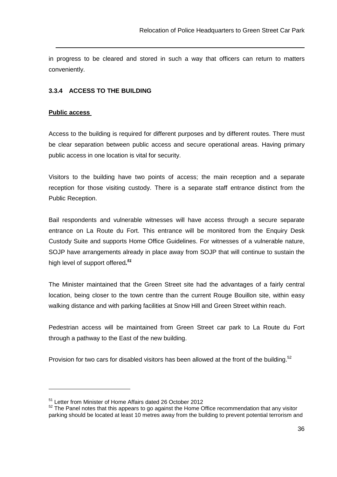in progress to be cleared and stored in such a way that officers can return to matters conveniently.

#### **3.3.4 ACCESS TO THE BUILDING**

#### **Public access**

Access to the building is required for different purposes and by different routes. There must be clear separation between public access and secure operational areas. Having primary public access in one location is vital for security.

Visitors to the building have two points of access; the main reception and a separate reception for those visiting custody. There is a separate staff entrance distinct from the Public Reception.

Bail respondents and vulnerable witnesses will have access through a secure separate entrance on La Route du Fort. This entrance will be monitored from the Enquiry Desk Custody Suite and supports Home Office Guidelines. For witnesses of a vulnerable nature, SOJP have arrangements already in place away from SOJP that will continue to sustain the high level of support offered**. 51**

The Minister maintained that the Green Street site had the advantages of a fairly central location, being closer to the town centre than the current Rouge Bouillon site, within easy walking distance and with parking facilities at Snow Hill and Green Street within reach.

Pedestrian access will be maintained from Green Street car park to La Route du Fort through a pathway to the East of the new building.

Provision for two cars for disabled visitors has been allowed at the front of the building.<sup>52</sup>

<sup>51</sup> Letter from Minister of Home Affairs dated 26 October 2012

 $52$  The Panel notes that this appears to go against the Home Office recommendation that any visitor parking should be located at least 10 metres away from the building to prevent potential terrorism and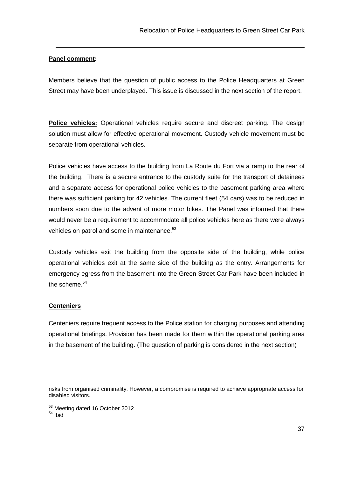#### **Panel comment:**

Members believe that the question of public access to the Police Headquarters at Green Street may have been underplayed. This issue is discussed in the next section of the report.

**Police vehicles:** Operational vehicles require secure and discreet parking. The design solution must allow for effective operational movement. Custody vehicle movement must be separate from operational vehicles.

Police vehicles have access to the building from La Route du Fort via a ramp to the rear of the building. There is a secure entrance to the custody suite for the transport of detainees and a separate access for operational police vehicles to the basement parking area where there was sufficient parking for 42 vehicles. The current fleet (54 cars) was to be reduced in numbers soon due to the advent of more motor bikes. The Panel was informed that there would never be a requirement to accommodate all police vehicles here as there were always vehicles on patrol and some in maintenance.<sup>53</sup>

Custody vehicles exit the building from the opposite side of the building, while police operational vehicles exit at the same side of the building as the entry. Arrangements for emergency egress from the basement into the Green Street Car Park have been included in the scheme. $54$ 

#### **Centeniers**

Centeniers require frequent access to the Police station for charging purposes and attending operational briefings. Provision has been made for them within the operational parking area in the basement of the building. (The question of parking is considered in the next section)

risks from organised criminality. However, a compromise is required to achieve appropriate access for disabled visitors.

<sup>53</sup> Meeting dated 16 October 2012 <sup>54</sup> Ibid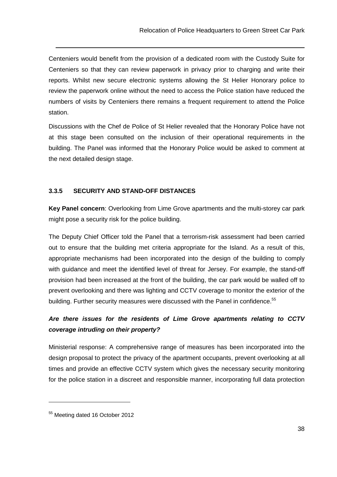Centeniers would benefit from the provision of a dedicated room with the Custody Suite for Centeniers so that they can review paperwork in privacy prior to charging and write their reports. Whilst new secure electronic systems allowing the St Helier Honorary police to review the paperwork online without the need to access the Police station have reduced the numbers of visits by Centeniers there remains a frequent requirement to attend the Police station.

Discussions with the Chef de Police of St Helier revealed that the Honorary Police have not at this stage been consulted on the inclusion of their operational requirements in the building. The Panel was informed that the Honorary Police would be asked to comment at the next detailed design stage.

#### **3.3.5 SECURITY AND STAND-OFF DISTANCES**

**Key Panel concern**: Overlooking from Lime Grove apartments and the multi-storey car park might pose a security risk for the police building.

The Deputy Chief Officer told the Panel that a terrorism-risk assessment had been carried out to ensure that the building met criteria appropriate for the Island. As a result of this, appropriate mechanisms had been incorporated into the design of the building to comply with guidance and meet the identified level of threat for Jersey. For example, the stand-off provision had been increased at the front of the building, the car park would be walled off to prevent overlooking and there was lighting and CCTV coverage to monitor the exterior of the building. Further security measures were discussed with the Panel in confidence.<sup>55</sup>

## **Are there issues for the residents of Lime Grove apartments relating to CCTV coverage intruding on their property?**

Ministerial response: A comprehensive range of measures has been incorporated into the design proposal to protect the privacy of the apartment occupants, prevent overlooking at all times and provide an effective CCTV system which gives the necessary security monitoring for the police station in a discreet and responsible manner, incorporating full data protection

 $\overline{a}$ 

<sup>55</sup> Meeting dated 16 October 2012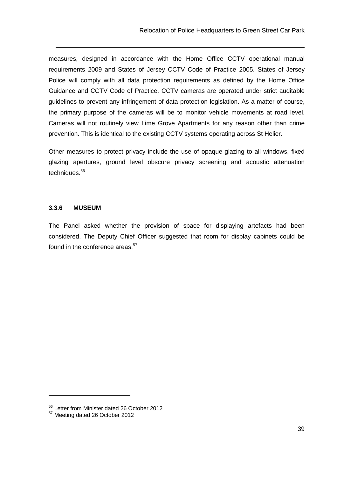measures, designed in accordance with the Home Office CCTV operational manual requirements 2009 and States of Jersey CCTV Code of Practice 2005. States of Jersey Police will comply with all data protection requirements as defined by the Home Office Guidance and CCTV Code of Practice. CCTV cameras are operated under strict auditable guidelines to prevent any infringement of data protection legislation. As a matter of course, the primary purpose of the cameras will be to monitor vehicle movements at road level. Cameras will not routinely view Lime Grove Apartments for any reason other than crime prevention. This is identical to the existing CCTV systems operating across St Helier.

Other measures to protect privacy include the use of opaque glazing to all windows, fixed glazing apertures, ground level obscure privacy screening and acoustic attenuation techniques.<sup>56</sup>

#### **3.3.6 MUSEUM**

The Panel asked whether the provision of space for displaying artefacts had been considered. The Deputy Chief Officer suggested that room for display cabinets could be found in the conference areas.<sup>57</sup>

<sup>&</sup>lt;sup>56</sup> Letter from Minister dated 26 October 2012

<sup>&</sup>lt;sup>57</sup> Meeting dated 26 October 2012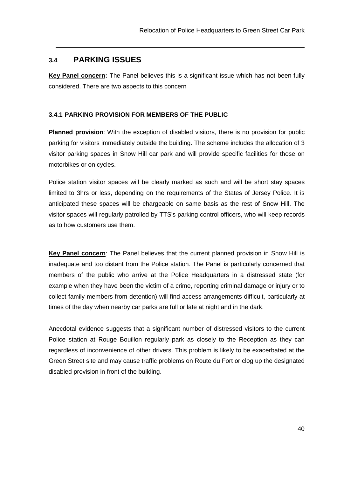## **3.4 PARKING ISSUES**

**Key Panel concern:** The Panel believes this is a significant issue which has not been fully considered. There are two aspects to this concern

#### **3.4.1 PARKING PROVISION FOR MEMBERS OF THE PUBLIC**

**Planned provision**: With the exception of disabled visitors, there is no provision for public parking for visitors immediately outside the building. The scheme includes the allocation of 3 visitor parking spaces in Snow Hill car park and will provide specific facilities for those on motorbikes or on cycles.

Police station visitor spaces will be clearly marked as such and will be short stay spaces limited to 3hrs or less, depending on the requirements of the States of Jersey Police. It is anticipated these spaces will be chargeable on same basis as the rest of Snow Hill. The visitor spaces will regularly patrolled by TTS's parking control officers, who will keep records as to how customers use them.

**Key Panel concern**: The Panel believes that the current planned provision in Snow Hill is inadequate and too distant from the Police station. The Panel is particularly concerned that members of the public who arrive at the Police Headquarters in a distressed state (for example when they have been the victim of a crime, reporting criminal damage or injury or to collect family members from detention) will find access arrangements difficult, particularly at times of the day when nearby car parks are full or late at night and in the dark.

Anecdotal evidence suggests that a significant number of distressed visitors to the current Police station at Rouge Bouillon regularly park as closely to the Reception as they can regardless of inconvenience of other drivers. This problem is likely to be exacerbated at the Green Street site and may cause traffic problems on Route du Fort or clog up the designated disabled provision in front of the building.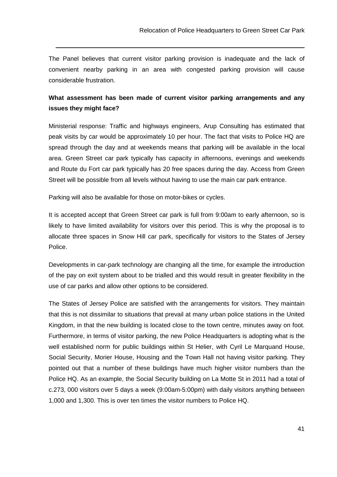The Panel believes that current visitor parking provision is inadequate and the lack of convenient nearby parking in an area with congested parking provision will cause considerable frustration.

## **What assessment has been made of current visitor parking arrangements and any issues they might face?**

Ministerial response: Traffic and highways engineers, Arup Consulting has estimated that peak visits by car would be approximately 10 per hour. The fact that visits to Police HQ are spread through the day and at weekends means that parking will be available in the local area. Green Street car park typically has capacity in afternoons, evenings and weekends and Route du Fort car park typically has 20 free spaces during the day. Access from Green Street will be possible from all levels without having to use the main car park entrance.

Parking will also be available for those on motor-bikes or cycles.

It is accepted accept that Green Street car park is full from 9:00am to early afternoon, so is likely to have limited availability for visitors over this period. This is why the proposal is to allocate three spaces in Snow Hill car park, specifically for visitors to the States of Jersey Police.

Developments in car-park technology are changing all the time, for example the introduction of the pay on exit system about to be trialled and this would result in greater flexibility in the use of car parks and allow other options to be considered.

The States of Jersey Police are satisfied with the arrangements for visitors. They maintain that this is not dissimilar to situations that prevail at many urban police stations in the United Kingdom, in that the new building is located close to the town centre, minutes away on foot. Furthermore, in terms of visitor parking, the new Police Headquarters is adopting what is the well established norm for public buildings within St Helier, with Cyril Le Marquand House, Social Security, Morier House, Housing and the Town Hall not having visitor parking. They pointed out that a number of these buildings have much higher visitor numbers than the Police HQ. As an example, the Social Security building on La Motte St in 2011 had a total of c.273, 000 visitors over 5 days a week (9:00am-5:00pm) with daily visitors anything between 1,000 and 1,300. This is over ten times the visitor numbers to Police HQ.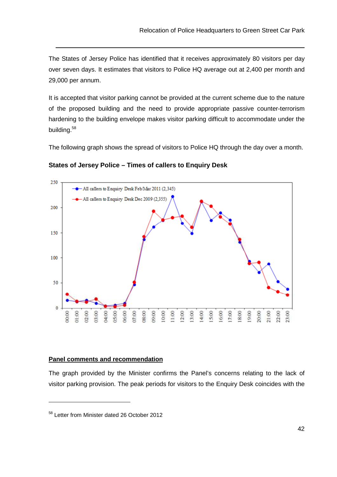The States of Jersey Police has identified that it receives approximately 80 visitors per day over seven days. It estimates that visitors to Police HQ average out at 2,400 per month and 29,000 per annum.

It is accepted that visitor parking cannot be provided at the current scheme due to the nature of the proposed building and the need to provide appropriate passive counter-terrorism hardening to the building envelope makes visitor parking difficult to accommodate under the building.<sup>58</sup>

The following graph shows the spread of visitors to Police HQ through the day over a month.



**States of Jersey Police – Times of callers to Enquiry Desk**

#### **Panel comments and recommendation**

The graph provided by the Minister confirms the Panel's concerns relating to the lack of visitor parking provision. The peak periods for visitors to the Enquiry Desk coincides with the

 $\overline{a}$ 

<sup>58</sup> Letter from Minister dated 26 October 2012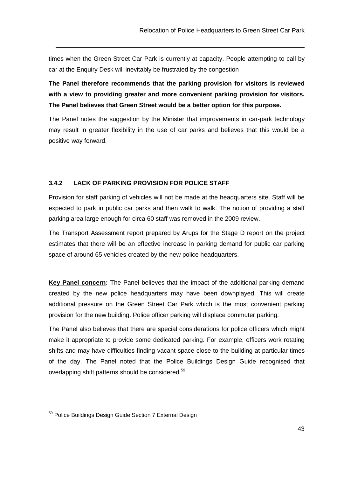times when the Green Street Car Park is currently at capacity. People attempting to call by car at the Enquiry Desk will inevitably be frustrated by the congestion

**The Panel therefore recommends that the parking provision for visitors is reviewed with a view to providing greater and more convenient parking provision for visitors. The Panel believes that Green Street would be a better option for this purpose.** 

The Panel notes the suggestion by the Minister that improvements in car-park technology may result in greater flexibility in the use of car parks and believes that this would be a positive way forward.

#### **3.4.2 LACK OF PARKING PROVISION FOR POLICE STAFF**

Provision for staff parking of vehicles will not be made at the headquarters site. Staff will be expected to park in public car parks and then walk to walk. The notion of providing a staff parking area large enough for circa 60 staff was removed in the 2009 review.

The Transport Assessment report prepared by Arups for the Stage D report on the project estimates that there will be an effective increase in parking demand for public car parking space of around 65 vehicles created by the new police headquarters.

**Key Panel concern:** The Panel believes that the impact of the additional parking demand created by the new police headquarters may have been downplayed. This will create additional pressure on the Green Street Car Park which is the most convenient parking provision for the new building. Police officer parking will displace commuter parking.

The Panel also believes that there are special considerations for police officers which might make it appropriate to provide some dedicated parking. For example, officers work rotating shifts and may have difficulties finding vacant space close to the building at particular times of the day. The Panel noted that the Police Buildings Design Guide recognised that overlapping shift patterns should be considered.<sup>59</sup>

 $\overline{a}$ 

<sup>59</sup> Police Buildings Design Guide Section 7 External Design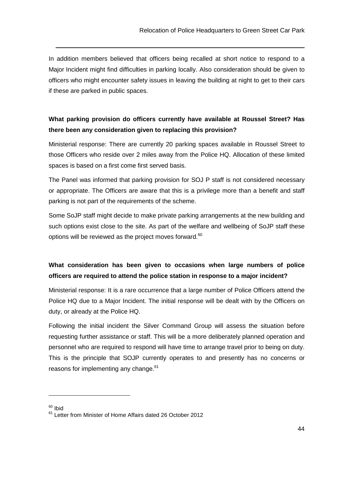In addition members believed that officers being recalled at short notice to respond to a Major Incident might find difficulties in parking locally. Also consideration should be given to officers who might encounter safety issues in leaving the building at night to get to their cars if these are parked in public spaces.

## **What parking provision do officers currently have available at Roussel Street? Has there been any consideration given to replacing this provision?**

Ministerial response: There are currently 20 parking spaces available in Roussel Street to those Officers who reside over 2 miles away from the Police HQ. Allocation of these limited spaces is based on a first come first served basis.

The Panel was informed that parking provision for SOJ P staff is not considered necessary or appropriate. The Officers are aware that this is a privilege more than a benefit and staff parking is not part of the requirements of the scheme.

Some SoJP staff might decide to make private parking arrangements at the new building and such options exist close to the site. As part of the welfare and wellbeing of SoJP staff these options will be reviewed as the project moves forward.<sup>60</sup>

## **What consideration has been given to occasions when large numbers of police officers are required to attend the police station in response to a major incident?**

Ministerial response: It is a rare occurrence that a large number of Police Officers attend the Police HQ due to a Major Incident. The initial response will be dealt with by the Officers on duty, or already at the Police HQ.

Following the initial incident the Silver Command Group will assess the situation before requesting further assistance or staff. This will be a more deliberately planned operation and personnel who are required to respond will have time to arrange travel prior to being on duty. This is the principle that SOJP currently operates to and presently has no concerns or reasons for implementing any change.<sup>61</sup>

 $60$  Ibid

<sup>&</sup>lt;sup>61</sup> Letter from Minister of Home Affairs dated 26 October 2012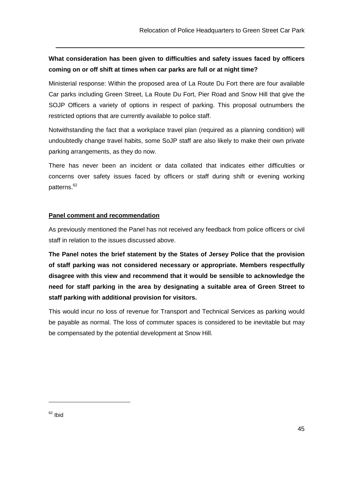## **What consideration has been given to difficulties and safety issues faced by officers coming on or off shift at times when car parks are full or at night time?**

Ministerial response: Within the proposed area of La Route Du Fort there are four available Car parks including Green Street, La Route Du Fort, Pier Road and Snow Hill that give the SOJP Officers a variety of options in respect of parking. This proposal outnumbers the restricted options that are currently available to police staff.

Notwithstanding the fact that a workplace travel plan (required as a planning condition) will undoubtedly change travel habits, some SoJP staff are also likely to make their own private parking arrangements, as they do now.

There has never been an incident or data collated that indicates either difficulties or concerns over safety issues faced by officers or staff during shift or evening working patterns.<sup>62</sup>

#### **Panel comment and recommendation**

As previously mentioned the Panel has not received any feedback from police officers or civil staff in relation to the issues discussed above.

**The Panel notes the brief statement by the States of Jersey Police that the provision of staff parking was not considered necessary or appropriate. Members respectfully disagree with this view and recommend that it would be sensible to acknowledge the need for staff parking in the area by designating a suitable area of Green Street to staff parking with additional provision for visitors.** 

This would incur no loss of revenue for Transport and Technical Services as parking would be payable as normal. The loss of commuter spaces is considered to be inevitable but may be compensated by the potential development at Snow Hill.

 $\overline{a}$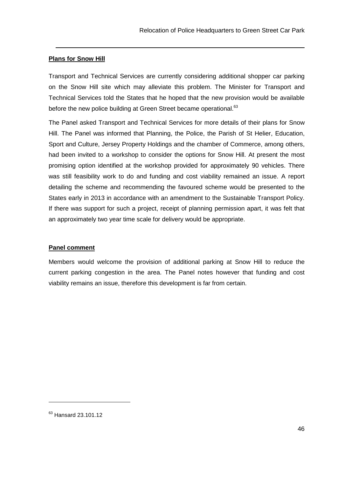#### **Plans for Snow Hill**

Transport and Technical Services are currently considering additional shopper car parking on the Snow Hill site which may alleviate this problem. The Minister for Transport and Technical Services told the States that he hoped that the new provision would be available before the new police building at Green Street became operational.<sup>63</sup>

The Panel asked Transport and Technical Services for more details of their plans for Snow Hill. The Panel was informed that Planning, the Police, the Parish of St Helier, Education, Sport and Culture, Jersey Property Holdings and the chamber of Commerce, among others, had been invited to a workshop to consider the options for Snow Hill. At present the most promising option identified at the workshop provided for approximately 90 vehicles. There was still feasibility work to do and funding and cost viability remained an issue. A report detailing the scheme and recommending the favoured scheme would be presented to the States early in 2013 in accordance with an amendment to the Sustainable Transport Policy. If there was support for such a project, receipt of planning permission apart, it was felt that an approximately two year time scale for delivery would be appropriate.

#### **Panel comment**

Members would welcome the provision of additional parking at Snow Hill to reduce the current parking congestion in the area. The Panel notes however that funding and cost viability remains an issue, therefore this development is far from certain.

 $\overline{a}$ 

<sup>&</sup>lt;sup>63</sup> Hansard 23.101.12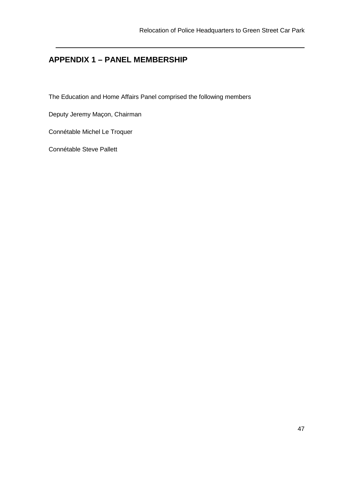## **APPENDIX 1 – PANEL MEMBERSHIP**

The Education and Home Affairs Panel comprised the following members

Deputy Jeremy Maçon, Chairman

Connétable Michel Le Troquer

Connétable Steve Pallett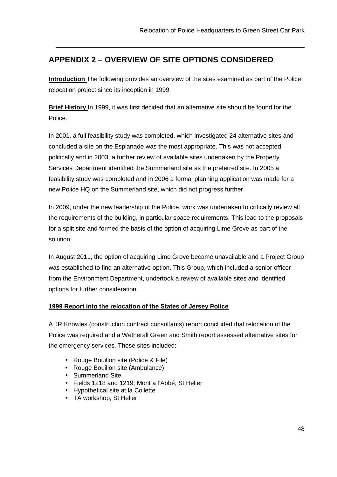## **APPENDIX 2 – OVERVIEW OF SITE OPTIONS CONSIDERED**

**Introduction** The following provides an overview of the sites examined as part of the Police relocation project since its inception in 1999.

**Brief History** In 1999, it was first decided that an alternative site should be found for the Police.

In 2001, a full feasibility study was completed, which investigated 24 alternative sites and concluded a site on the Esplanade was the most appropriate. This was not accepted politically and in 2003, a further review of available sites undertaken by the Property Services Department identified the Summerland site as the preferred site. In 2005 a feasibility study was completed and in 2006 a formal planning application was made for a new Police HQ on the Summerland site, which did not progress further.

In 2009, under the new leadership of the Police, work was undertaken to critically review all the requirements of the building, in particular space requirements. This lead to the proposals for a split site and formed the basis of the option of acquiring Lime Grove as part of the solution.

In August 2011, the option of acquiring Lime Grove became unavailable and a Project Group was established to find an alternative option. This Group, which included a senior officer from the Environment Department, undertook a review of available sites and identified options for further consideration.

#### **1999 Report into the relocation of the States of Jersey Police**

A JR Knowles (construction contract consultants) report concluded that relocation of the Police was required and a Wetherall Green and Smith report assessed alternative sites for the emergency services. These sites included:

- Rouge Bouillon site (Police & File)
- Rouge Bouillon site (Ambulance)
- Summerland Site

- Fields 1218 and 1219, Mont a l'Abbé, St Helier
- Hypothetical site at la Collette
- TA workshop, St Helier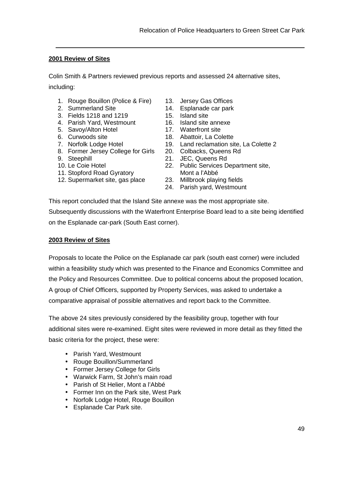#### **2001 Review of Sites**

Colin Smith & Partners reviewed previous reports and assessed 24 alternative sites, including:

- 1. Rouge Bouillon (Police & Fire)
- 2. Summerland Site
- 3. Fields 1218 and 1219
- 4. Parish Yard, Westmount
- 5. Savoy/Alton Hotel
- 6. Curwoods site
- 7. Norfolk Lodge Hotel
- 8. Former Jersey College for Girls
- 9. Steephill
- 10. Le Coie Hotel
- 11. Stopford Road Gyratory
- 12. Supermarket site, gas place
- 13. Jersey Gas Offices
- 14. Esplanade car park
- 15. Island site
- 16. Island site annexe
- 17. Waterfront site
- 18. Abattoir, La Colette
- 19. Land reclamation site, La Colette 2
- 20. Colbacks, Queens Rd
- 21. JEC, Queens Rd
- 22. Public Services Department site, Mont a l'Abbé
- 23. Millbrook playing fields
- 24. Parish yard, Westmount

This report concluded that the Island Site annexe was the most appropriate site. Subsequently discussions with the Waterfront Enterprise Board lead to a site being identified on the Esplanade car-park (South East corner).

#### **2003 Review of Sites**

Proposals to locate the Police on the Esplanade car park (south east corner) were included within a feasibility study which was presented to the Finance and Economics Committee and the Policy and Resources Committee. Due to political concerns about the proposed location, A group of Chief Officers, supported by Property Services, was asked to undertake a comparative appraisal of possible alternatives and report back to the Committee.

The above 24 sites previously considered by the feasibility group, together with four additional sites were re-examined. Eight sites were reviewed in more detail as they fitted the basic criteria for the project, these were:

- Parish Yard, Westmount
- Rouge Bouillon/Summerland
- Former Jersey College for Girls
- Warwick Farm, St John's main road
- Parish of St Helier, Mont a l'Abbé
- Former Inn on the Park site, West Park
- Norfolk Lodge Hotel, Rouge Bouillon
- Esplanade Car Park site.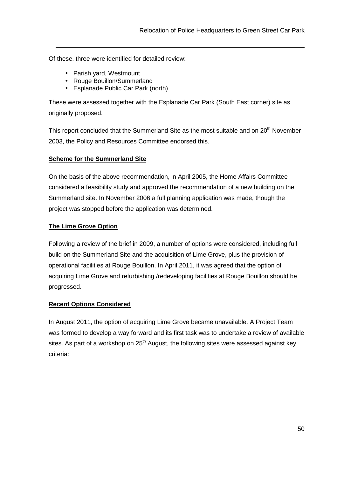Of these, three were identified for detailed review:

• Parish yard, Westmount

- Rouge Bouillon/Summerland
- Esplanade Public Car Park (north)

These were assessed together with the Esplanade Car Park (South East corner) site as originally proposed.

This report concluded that the Summerland Site as the most suitable and on 20<sup>th</sup> November 2003, the Policy and Resources Committee endorsed this.

#### **Scheme for the Summerland Site**

On the basis of the above recommendation, in April 2005, the Home Affairs Committee considered a feasibility study and approved the recommendation of a new building on the Summerland site. In November 2006 a full planning application was made, though the project was stopped before the application was determined.

#### **The Lime Grove Option**

Following a review of the brief in 2009, a number of options were considered, including full build on the Summerland Site and the acquisition of Lime Grove, plus the provision of operational facilities at Rouge Bouillon. In April 2011, it was agreed that the option of acquiring Lime Grove and refurbishing /redeveloping facilities at Rouge Bouillon should be progressed.

#### **Recent Options Considered**

In August 2011, the option of acquiring Lime Grove became unavailable. A Project Team was formed to develop a way forward and its first task was to undertake a review of available sites. As part of a workshop on  $25<sup>th</sup>$  August, the following sites were assessed against key criteria: